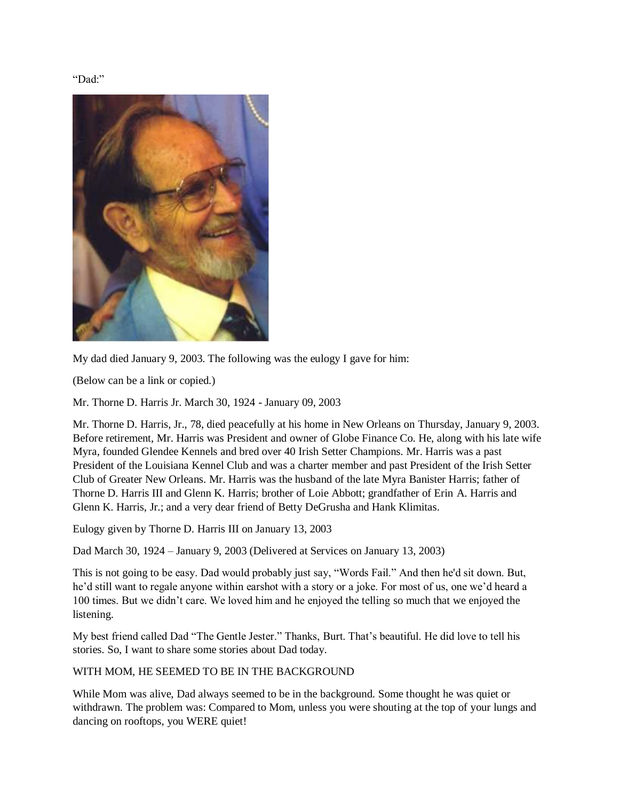"Dad:"



My dad died January 9, 2003. The following was the eulogy I gave for him:

(Below can be a link or copied.)

Mr. Thorne D. Harris Jr. March 30, 1924 - January 09, 2003

Mr. Thorne D. Harris, Jr., 78, died peacefully at his home in New Orleans on Thursday, January 9, 2003. Before retirement, Mr. Harris was President and owner of Globe Finance Co. He, along with his late wife Myra, founded Glendee Kennels and bred over 40 Irish Setter Champions. Mr. Harris was a past President of the Louisiana Kennel Club and was a charter member and past President of the Irish Setter Club of Greater New Orleans. Mr. Harris was the husband of the late Myra Banister Harris; father of Thorne D. Harris III and Glenn K. Harris; brother of Loie Abbott; grandfather of Erin A. Harris and Glenn K. Harris, Jr.; and a very dear friend of Betty DeGrusha and Hank Klimitas.

Eulogy given by Thorne D. Harris III on January 13, 2003

Dad March 30, 1924 – January 9, 2003 (Delivered at Services on January 13, 2003)

This is not going to be easy. Dad would probably just say, "Words Fail." And then he'd sit down. But, he'd still want to regale anyone within earshot with a story or a joke. For most of us, one we'd heard a 100 times. But we didn't care. We loved him and he enjoyed the telling so much that we enjoyed the listening.

My best friend called Dad "The Gentle Jester." Thanks, Burt. That's beautiful. He did love to tell his stories. So, I want to share some stories about Dad today.

#### WITH MOM, HE SEEMED TO BE IN THE BACKGROUND

While Mom was alive, Dad always seemed to be in the background. Some thought he was quiet or withdrawn. The problem was: Compared to Mom, unless you were shouting at the top of your lungs and dancing on rooftops, you WERE quiet!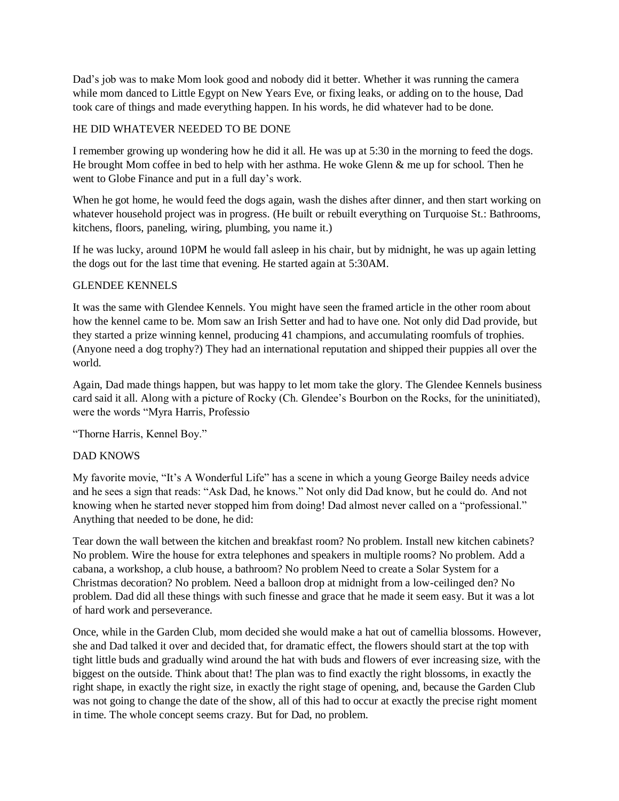Dad's job was to make Mom look good and nobody did it better. Whether it was running the camera while mom danced to Little Egypt on New Years Eve, or fixing leaks, or adding on to the house, Dad took care of things and made everything happen. In his words, he did whatever had to be done.

## HE DID WHATEVER NEEDED TO BE DONE

I remember growing up wondering how he did it all. He was up at 5:30 in the morning to feed the dogs. He brought Mom coffee in bed to help with her asthma. He woke Glenn  $\&$  me up for school. Then he went to Globe Finance and put in a full day's work.

When he got home, he would feed the dogs again, wash the dishes after dinner, and then start working on whatever household project was in progress. (He built or rebuilt everything on Turquoise St.: Bathrooms, kitchens, floors, paneling, wiring, plumbing, you name it.)

If he was lucky, around 10PM he would fall asleep in his chair, but by midnight, he was up again letting the dogs out for the last time that evening. He started again at 5:30AM.

## GLENDEE KENNELS

It was the same with Glendee Kennels. You might have seen the framed article in the other room about how the kennel came to be. Mom saw an Irish Setter and had to have one. Not only did Dad provide, but they started a prize winning kennel, producing 41 champions, and accumulating roomfuls of trophies. (Anyone need a dog trophy?) They had an international reputation and shipped their puppies all over the world.

Again, Dad made things happen, but was happy to let mom take the glory. The Glendee Kennels business card said it all. Along with a picture of Rocky (Ch. Glendee's Bourbon on the Rocks, for the uninitiated), were the words "Myra Harris, Professio

"Thorne Harris, Kennel Boy."

# DAD KNOWS

My favorite movie, "It's A Wonderful Life" has a scene in which a young George Bailey needs advice and he sees a sign that reads: "Ask Dad, he knows." Not only did Dad know, but he could do. And not knowing when he started never stopped him from doing! Dad almost never called on a "professional." Anything that needed to be done, he did:

Tear down the wall between the kitchen and breakfast room? No problem. Install new kitchen cabinets? No problem. Wire the house for extra telephones and speakers in multiple rooms? No problem. Add a cabana, a workshop, a club house, a bathroom? No problem Need to create a Solar System for a Christmas decoration? No problem. Need a balloon drop at midnight from a low-ceilinged den? No problem. Dad did all these things with such finesse and grace that he made it seem easy. But it was a lot of hard work and perseverance.

Once, while in the Garden Club, mom decided she would make a hat out of camellia blossoms. However, she and Dad talked it over and decided that, for dramatic effect, the flowers should start at the top with tight little buds and gradually wind around the hat with buds and flowers of ever increasing size, with the biggest on the outside. Think about that! The plan was to find exactly the right blossoms, in exactly the right shape, in exactly the right size, in exactly the right stage of opening, and, because the Garden Club was not going to change the date of the show, all of this had to occur at exactly the precise right moment in time. The whole concept seems crazy. But for Dad, no problem.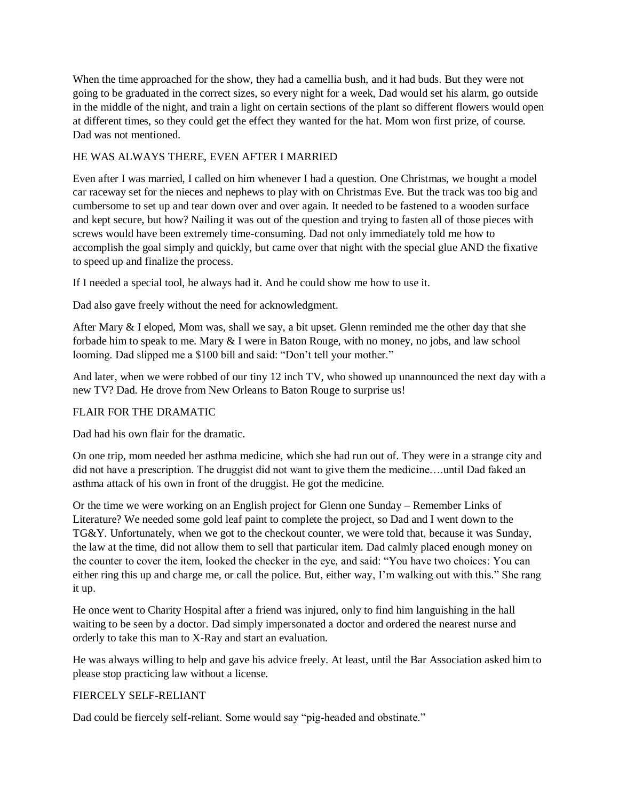When the time approached for the show, they had a camellia bush, and it had buds. But they were not going to be graduated in the correct sizes, so every night for a week, Dad would set his alarm, go outside in the middle of the night, and train a light on certain sections of the plant so different flowers would open at different times, so they could get the effect they wanted for the hat. Mom won first prize, of course. Dad was not mentioned.

## HE WAS ALWAYS THERE, EVEN AFTER I MARRIED

Even after I was married, I called on him whenever I had a question. One Christmas, we bought a model car raceway set for the nieces and nephews to play with on Christmas Eve. But the track was too big and cumbersome to set up and tear down over and over again. It needed to be fastened to a wooden surface and kept secure, but how? Nailing it was out of the question and trying to fasten all of those pieces with screws would have been extremely time-consuming. Dad not only immediately told me how to accomplish the goal simply and quickly, but came over that night with the special glue AND the fixative to speed up and finalize the process.

If I needed a special tool, he always had it. And he could show me how to use it.

Dad also gave freely without the need for acknowledgment.

After Mary & I eloped, Mom was, shall we say, a bit upset. Glenn reminded me the other day that she forbade him to speak to me. Mary & I were in Baton Rouge, with no money, no jobs, and law school looming. Dad slipped me a \$100 bill and said: "Don't tell your mother."

And later, when we were robbed of our tiny 12 inch TV, who showed up unannounced the next day with a new TV? Dad. He drove from New Orleans to Baton Rouge to surprise us!

## FLAIR FOR THE DRAMATIC

Dad had his own flair for the dramatic.

On one trip, mom needed her asthma medicine, which she had run out of. They were in a strange city and did not have a prescription. The druggist did not want to give them the medicine….until Dad faked an asthma attack of his own in front of the druggist. He got the medicine.

Or the time we were working on an English project for Glenn one Sunday – Remember Links of Literature? We needed some gold leaf paint to complete the project, so Dad and I went down to the TG&Y. Unfortunately, when we got to the checkout counter, we were told that, because it was Sunday, the law at the time, did not allow them to sell that particular item. Dad calmly placed enough money on the counter to cover the item, looked the checker in the eye, and said: "You have two choices: You can either ring this up and charge me, or call the police. But, either way, I'm walking out with this." She rang it up.

He once went to Charity Hospital after a friend was injured, only to find him languishing in the hall waiting to be seen by a doctor. Dad simply impersonated a doctor and ordered the nearest nurse and orderly to take this man to X-Ray and start an evaluation.

He was always willing to help and gave his advice freely. At least, until the Bar Association asked him to please stop practicing law without a license.

## FIERCELY SELF-RELIANT

Dad could be fiercely self-reliant. Some would say "pig-headed and obstinate."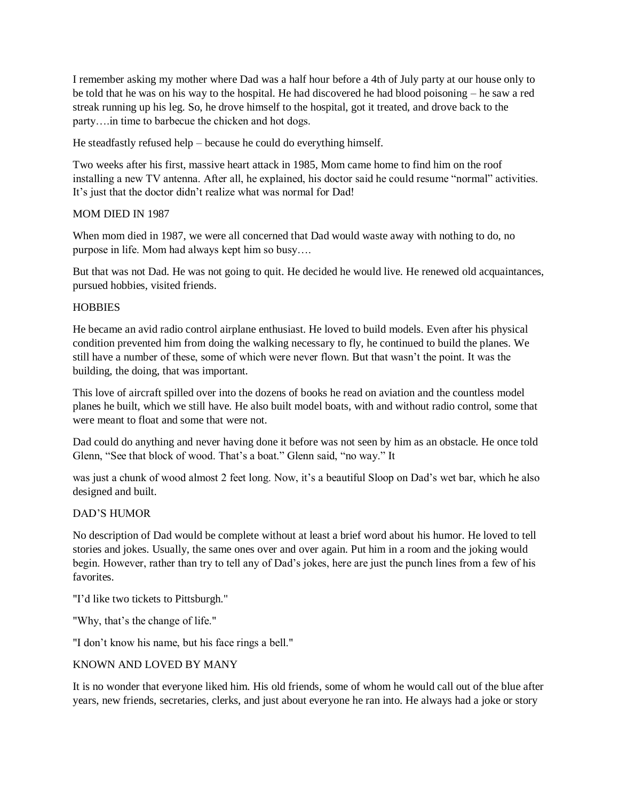I remember asking my mother where Dad was a half hour before a 4th of July party at our house only to be told that he was on his way to the hospital. He had discovered he had blood poisoning – he saw a red streak running up his leg. So, he drove himself to the hospital, got it treated, and drove back to the party….in time to barbecue the chicken and hot dogs.

He steadfastly refused help – because he could do everything himself.

Two weeks after his first, massive heart attack in 1985, Mom came home to find him on the roof installing a new TV antenna. After all, he explained, his doctor said he could resume "normal" activities. It's just that the doctor didn't realize what was normal for Dad!

### MOM DIED IN 1987

When mom died in 1987, we were all concerned that Dad would waste away with nothing to do, no purpose in life. Mom had always kept him so busy….

But that was not Dad. He was not going to quit. He decided he would live. He renewed old acquaintances, pursued hobbies, visited friends.

### **HOBBIES**

He became an avid radio control airplane enthusiast. He loved to build models. Even after his physical condition prevented him from doing the walking necessary to fly, he continued to build the planes. We still have a number of these, some of which were never flown. But that wasn't the point. It was the building, the doing, that was important.

This love of aircraft spilled over into the dozens of books he read on aviation and the countless model planes he built, which we still have. He also built model boats, with and without radio control, some that were meant to float and some that were not.

Dad could do anything and never having done it before was not seen by him as an obstacle. He once told Glenn, "See that block of wood. That's a boat." Glenn said, "no way." It

was just a chunk of wood almost 2 feet long. Now, it's a beautiful Sloop on Dad's wet bar, which he also designed and built.

#### DAD'S HUMOR

No description of Dad would be complete without at least a brief word about his humor. He loved to tell stories and jokes. Usually, the same ones over and over again. Put him in a room and the joking would begin. However, rather than try to tell any of Dad's jokes, here are just the punch lines from a few of his favorites.

"I'd like two tickets to Pittsburgh."

"Why, that's the change of life."

"I don't know his name, but his face rings a bell."

#### KNOWN AND LOVED BY MANY

It is no wonder that everyone liked him. His old friends, some of whom he would call out of the blue after years, new friends, secretaries, clerks, and just about everyone he ran into. He always had a joke or story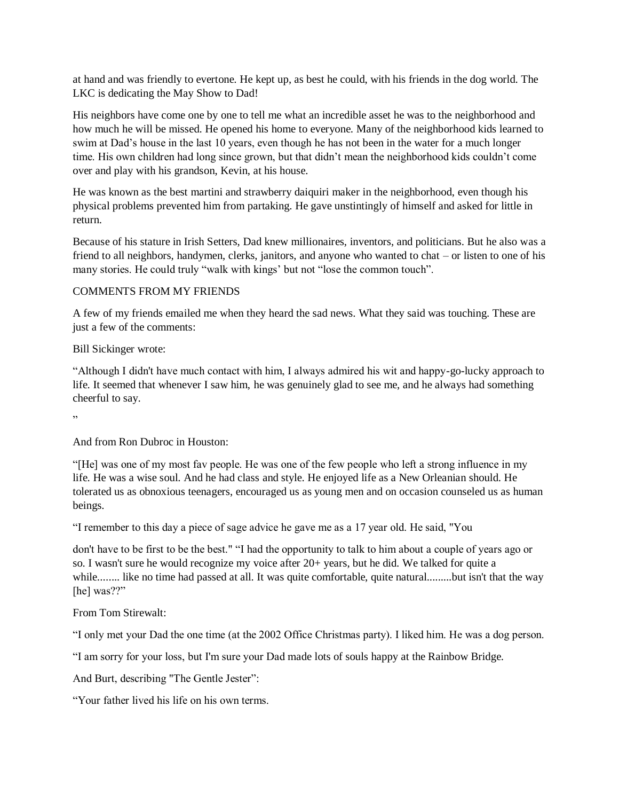at hand and was friendly to evertone. He kept up, as best he could, with his friends in the dog world. The LKC is dedicating the May Show to Dad!

His neighbors have come one by one to tell me what an incredible asset he was to the neighborhood and how much he will be missed. He opened his home to everyone. Many of the neighborhood kids learned to swim at Dad's house in the last 10 years, even though he has not been in the water for a much longer time. His own children had long since grown, but that didn't mean the neighborhood kids couldn't come over and play with his grandson, Kevin, at his house.

He was known as the best martini and strawberry daiquiri maker in the neighborhood, even though his physical problems prevented him from partaking. He gave unstintingly of himself and asked for little in return.

Because of his stature in Irish Setters, Dad knew millionaires, inventors, and politicians. But he also was a friend to all neighbors, handymen, clerks, janitors, and anyone who wanted to chat – or listen to one of his many stories. He could truly "walk with kings' but not "lose the common touch".

### COMMENTS FROM MY FRIENDS

A few of my friends emailed me when they heard the sad news. What they said was touching. These are just a few of the comments:

### Bill Sickinger wrote:

"Although I didn't have much contact with him, I always admired his wit and happy-go-lucky approach to life. It seemed that whenever I saw him, he was genuinely glad to see me, and he always had something cheerful to say.

"

And from Ron Dubroc in Houston:

"[He] was one of my most fav people. He was one of the few people who left a strong influence in my life. He was a wise soul. And he had class and style. He enjoyed life as a New Orleanian should. He tolerated us as obnoxious teenagers, encouraged us as young men and on occasion counseled us as human beings.

"I remember to this day a piece of sage advice he gave me as a 17 year old. He said, "You

don't have to be first to be the best." "I had the opportunity to talk to him about a couple of years ago or so. I wasn't sure he would recognize my voice after 20+ years, but he did. We talked for quite a while........ like no time had passed at all. It was quite comfortable, quite natural.........but isn't that the way [he] was??"

From Tom Stirewalt:

"I only met your Dad the one time (at the 2002 Office Christmas party). I liked him. He was a dog person.

"I am sorry for your loss, but I'm sure your Dad made lots of souls happy at the Rainbow Bridge.

And Burt, describing "The Gentle Jester":

"Your father lived his life on his own terms.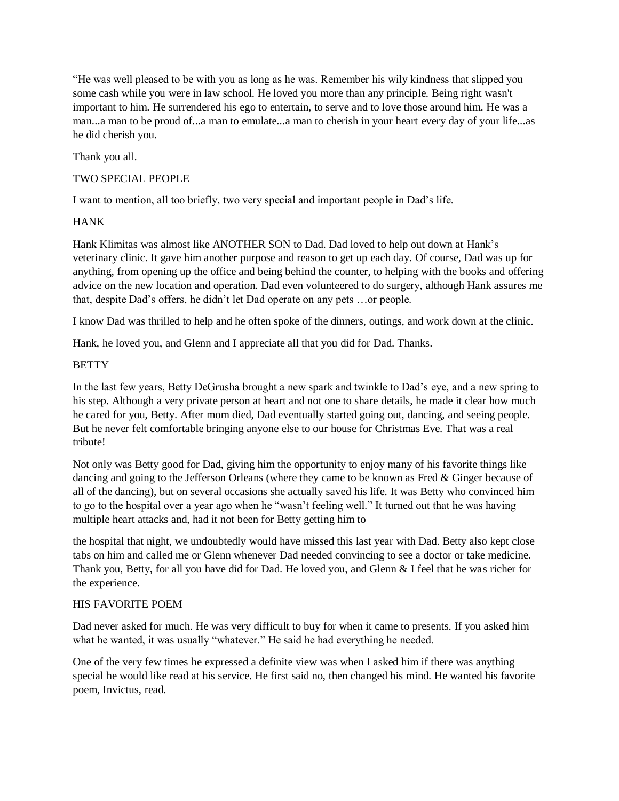"He was well pleased to be with you as long as he was. Remember his wily kindness that slipped you some cash while you were in law school. He loved you more than any principle. Being right wasn't important to him. He surrendered his ego to entertain, to serve and to love those around him. He was a man...a man to be proud of...a man to emulate...a man to cherish in your heart every day of your life...as he did cherish you.

Thank you all.

## TWO SPECIAL PEOPLE

I want to mention, all too briefly, two very special and important people in Dad's life.

## **HANK**

Hank Klimitas was almost like ANOTHER SON to Dad. Dad loved to help out down at Hank's veterinary clinic. It gave him another purpose and reason to get up each day. Of course, Dad was up for anything, from opening up the office and being behind the counter, to helping with the books and offering advice on the new location and operation. Dad even volunteered to do surgery, although Hank assures me that, despite Dad's offers, he didn't let Dad operate on any pets …or people.

I know Dad was thrilled to help and he often spoke of the dinners, outings, and work down at the clinic.

Hank, he loved you, and Glenn and I appreciate all that you did for Dad. Thanks.

### **BETTY**

In the last few years, Betty DeGrusha brought a new spark and twinkle to Dad's eye, and a new spring to his step. Although a very private person at heart and not one to share details, he made it clear how much he cared for you, Betty. After mom died, Dad eventually started going out, dancing, and seeing people. But he never felt comfortable bringing anyone else to our house for Christmas Eve. That was a real tribute!

Not only was Betty good for Dad, giving him the opportunity to enjoy many of his favorite things like dancing and going to the Jefferson Orleans (where they came to be known as Fred & Ginger because of all of the dancing), but on several occasions she actually saved his life. It was Betty who convinced him to go to the hospital over a year ago when he "wasn't feeling well." It turned out that he was having multiple heart attacks and, had it not been for Betty getting him to

the hospital that night, we undoubtedly would have missed this last year with Dad. Betty also kept close tabs on him and called me or Glenn whenever Dad needed convincing to see a doctor or take medicine. Thank you, Betty, for all you have did for Dad. He loved you, and Glenn & I feel that he was richer for the experience.

#### HIS FAVORITE POEM

Dad never asked for much. He was very difficult to buy for when it came to presents. If you asked him what he wanted, it was usually "whatever." He said he had everything he needed.

One of the very few times he expressed a definite view was when I asked him if there was anything special he would like read at his service. He first said no, then changed his mind. He wanted his favorite poem, Invictus, read.